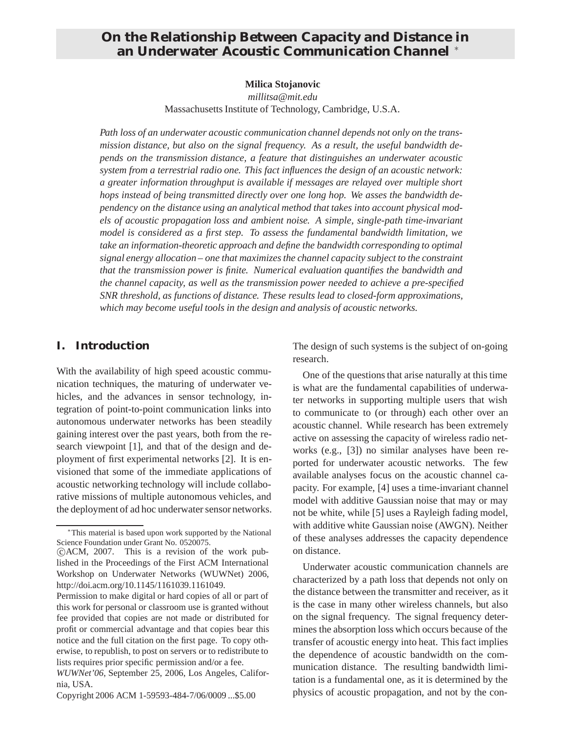# **On the Relationship Between Capacity and Distance in an Underwater Acoustic Communication Channel** ∗

#### **Milica Stojanovic**

*millitsa@mit.edu* Massachusetts Institute of Technology, Cambridge, U.S.A.

*Path loss of an underwater acoustic communication channel depends not only on the transmission distance, but also on the signal frequency. As a result, the useful bandwidth depends on the transmission distance, a feature that distinguishes an underwater acoustic system from a terrestrial radio one. This fact influences the design of an acoustic network: a greater information throughput is available if messages are relayed over multiple short hops instead of being transmitted directly over one long hop. We asses the bandwidth dependency on the distance using an analytical method that takes into account physical models of acoustic propagation loss and ambient noise. A simple, single-path time-invariant model is considered as a first step. To assess the fundamental bandwidth limitation, we take an information-theoretic approach and define the bandwidth corresponding to optimal signal energy allocation – one that maximizes the channel capacity subject to the constraint that the transmission power is finite. Numerical evaluation quantifies the bandwidth and the channel capacity, as well as the transmission power needed to achieve a pre-specified SNR threshold, as functions of distance. These results lead to closed-form approximations, which may become useful tools in the design and analysis of acoustic networks.*

### **I. Introduction**

With the availability of high speed acoustic communication techniques, the maturing of underwater vehicles, and the advances in sensor technology, integration of point-to-point communication links into autonomous underwater networks has been steadily gaining interest over the past years, both from the research viewpoint [1], and that of the design and deployment of first experimental networks [2]. It is envisioned that some of the immediate applications of acoustic networking technology will include collaborative missions of multiple autonomous vehicles, and the deployment of ad hoc underwater sensor networks.

The design of such systems is the subject of on-going research.

One of the questions that arise naturally at this time is what are the fundamental capabilities of underwater networks in supporting multiple users that wish to communicate to (or through) each other over an acoustic channel. While research has been extremely active on assessing the capacity of wireless radio networks (e.g., [3]) no similar analyses have been reported for underwater acoustic networks. The few available analyses focus on the acoustic channel capacity. For example, [4] uses a time-invariant channel model with additive Gaussian noise that may or may not be white, while [5] uses a Rayleigh fading model, with additive white Gaussian noise (AWGN). Neither of these analyses addresses the capacity dependence on distance.

Underwater acoustic communication channels are characterized by a path loss that depends not only on the distance between the transmitter and receiver, as it is the case in many other wireless channels, but also on the signal frequency. The signal frequency determines the absorption loss which occurs because of the transfer of acoustic energy into heat. This fact implies the dependence of acoustic bandwidth on the communication distance. The resulting bandwidth limitation is a fundamental one, as it is determined by the physics of acoustic propagation, and not by the con-

<sup>∗</sup>This material is based upon work supported by the National Science Foundation under Grant No. 0520075.

 $C$ )ACM, 2007. This is a revision of the work published in the Proceedings of the First ACM International Workshop on Underwater Networks (WUWNet) 2006, http://doi.acm.org/10.1145/1161039.1161049.

Permission to make digital or hard copies of all or part of this work for personal or classroom use is granted without fee provided that copies are not made or distributed for profit or commercial advantage and that copies bear this notice and the full citation on the first page. To copy otherwise, to republish, to post on servers or to redistribute to lists requires prior specific permission and/or a fee.

*WUWNet'06*, September 25, 2006, Los Angeles, California, USA.

Copyright 2006 ACM 1-59593-484-7/06/0009 ...\$5.00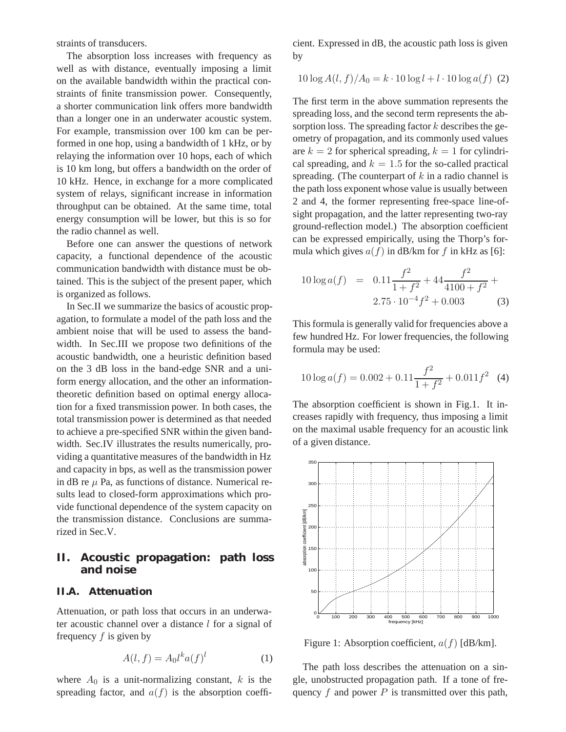straints of transducers.

The absorption loss increases with frequency as well as with distance, eventually imposing a limit on the available bandwidth within the practical constraints of finite transmission power. Consequently, a shorter communication link offers more bandwidth than a longer one in an underwater acoustic system. For example, transmission over 100 km can be performed in one hop, using a bandwidth of 1 kHz, or by relaying the information over 10 hops, each of which is 10 km long, but offers a bandwidth on the order of 10 kHz. Hence, in exchange for a more complicated system of relays, significant increase in information throughput can be obtained. At the same time, total energy consumption will be lower, but this is so for the radio channel as well.

Before one can answer the questions of network capacity, a functional dependence of the acoustic communication bandwidth with distance must be obtained. This is the subject of the present paper, which is organized as follows.

In Sec.II we summarize the basics of acoustic propagation, to formulate a model of the path loss and the ambient noise that will be used to assess the bandwidth. In Sec.III we propose two definitions of the acoustic bandwidth, one a heuristic definition based on the 3 dB loss in the band-edge SNR and a uniform energy allocation, and the other an informationtheoretic definition based on optimal energy allocation for a fixed transmission power. In both cases, the total transmission power is determined as that needed to achieve a pre-specified SNR within the given bandwidth. Sec.IV illustrates the results numerically, providing a quantitative measures of the bandwidth in Hz and capacity in bps, as well as the transmission power in dB re  $\mu$  Pa, as functions of distance. Numerical results lead to closed-form approximations which provide functional dependence of the system capacity on the transmission distance. Conclusions are summarized in Sec.V.

## **II. Acoustic propagation: path loss and noise**

### **II.A. Attenuation**

Attenuation, or path loss that occurs in an underwater acoustic channel over a distance  $l$  for a signal of frequency  $f$  is given by

$$
A(l,f) = A_0 l^k a(f)^l \tag{1}
$$

where  $A_0$  is a unit-normalizing constant, k is the spreading factor, and  $a(f)$  is the absorption coefficient. Expressed in dB, the acoustic path loss is given by

$$
10\log A(l, f)/A_0 = k \cdot 10\log l + l \cdot 10\log a(f)
$$
 (2)

The first term in the above summation represents the spreading loss, and the second term represents the absorption loss. The spreading factor  $k$  describes the geometry of propagation, and its commonly used values are  $k = 2$  for spherical spreading,  $k = 1$  for cylindrical spreading, and  $k = 1.5$  for the so-called practical spreading. (The counterpart of  $k$  in a radio channel is the path loss exponent whose value is usually between 2 and 4, the former representing free-space line-ofsight propagation, and the latter representing two-ray ground-reflection model.) The absorption coefficient can be expressed empirically, using the Thorp's formula which gives  $a(f)$  in dB/km for f in kHz as [6]:

$$
10\log a(f) = 0.11\frac{f^2}{1+f^2} + 44\frac{f^2}{4100+f^2} + 2.75 \cdot 10^{-4}f^2 + 0.003\tag{3}
$$

This formula is generally valid for frequencies above a few hundred Hz. For lower frequencies, the following formula may be used:

$$
10\log a(f) = 0.002 + 0.11\frac{f^2}{1+f^2} + 0.011f^2
$$
 (4)

The absorption coefficient is shown in Fig.1. It increases rapidly with frequency, thus imposing a limit on the maximal usable frequency for an acoustic link of a given distance.



Figure 1: Absorption coefficient,  $a(f)$  [dB/km].

The path loss describes the attenuation on a single, unobstructed propagation path. If a tone of frequency  $f$  and power  $P$  is transmitted over this path,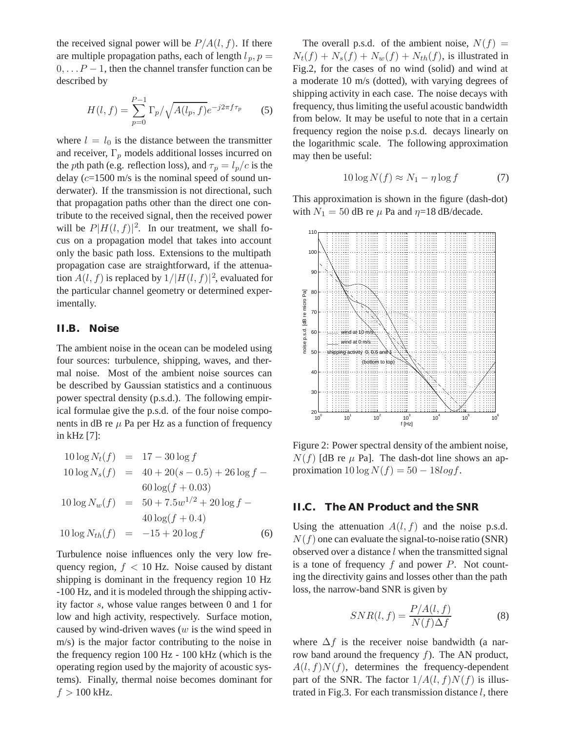the received signal power will be  $P/A(l, f)$ . If there are multiple propagation paths, each of length  $l_p$ ,  $p =$  $0, \ldots P-1$ , then the channel transfer function can be described by

$$
H(l, f) = \sum_{p=0}^{P-1} \Gamma_p / \sqrt{A(l_p, f)} e^{-j2\pi f \tau_p}
$$
 (5)

where  $l = l_0$  is the distance between the transmitter and receiver,  $\Gamma_p$  models additional losses incurred on the pth path (e.g. reflection loss), and  $\tau_p = l_p/c$  is the delay  $(c=1500 \text{ m/s}$  is the nominal speed of sound underwater). If the transmission is not directional, such that propagation paths other than the direct one contribute to the received signal, then the received power will be  $P|H(l, f)|^2$ . In our treatment, we shall fo-<br>cus on a propagation model that takes into account cus on a propagation model that takes into account only the basic path loss. Extensions to the multipath propagation case are straightforward, if the attenuation  $A(l, f)$  is replaced by  $1/|H(l, f)|^2$ , evaluated for<br>the particular channel geometry or determined experthe particular channel geometry or determined experimentally.

#### **II.B. Noise**

The ambient noise in the ocean can be modeled using four sources: turbulence, shipping, waves, and thermal noise. Most of the ambient noise sources can be described by Gaussian statistics and a continuous power spectral density (p.s.d.). The following empirical formulae give the p.s.d. of the four noise components in dB re  $\mu$  Pa per Hz as a function of frequency in kHz [7]:

$$
10 \log N_t(f) = 17 - 30 \log f
$$
  
\n
$$
10 \log N_s(f) = 40 + 20(s - 0.5) + 26 \log f - 60 \log(f + 0.03)
$$
  
\n
$$
10 \log N_w(f) = 50 + 7.5w^{1/2} + 20 \log f - 40 \log(f + 0.4)
$$
  
\n
$$
10 \log N_{th}(f) = -15 + 20 \log f
$$
 (6)

Turbulence noise influences only the very low frequency region,  $f < 10$  Hz. Noise caused by distant shipping is dominant in the frequency region 10 Hz -100 Hz, and it is modeled through the shipping activity factor s, whose value ranges between 0 and 1 for low and high activity, respectively. Surface motion, caused by wind-driven waves  $(w$  is the wind speed in m/s) is the major factor contributing to the noise in the frequency region 100 Hz - 100 kHz (which is the operating region used by the majority of acoustic systems). Finally, thermal noise becomes dominant for  $f > 100$  kHz.

The overall p.s.d. of the ambient noise,  $N(f)$  =  $N_t(f) + N_s(f) + N_w(f) + N_{th}(f)$ , is illustrated in Fig.2, for the cases of no wind (solid) and wind at a moderate 10 m/s (dotted), with varying degrees of shipping activity in each case. The noise decays with frequency, thus limiting the useful acoustic bandwidth from below. It may be useful to note that in a certain frequency region the noise p.s.d. decays linearly on the logarithmic scale. The following approximation may then be useful:

$$
10\log N(f) \approx N_1 - \eta \log f \tag{7}
$$

This approximation is shown in the figure (dash-dot) with  $N_1 = 50$  dB re  $\mu$  Pa and  $\eta = 18$  dB/decade.



Figure 2: Power spectral density of the ambient noise,  $N(f)$  [dB re  $\mu$  Pa]. The dash-dot line shows an approximation  $10 \log N(f) = 50 - 18 \log f$ .

#### **II.C. The AN Product and the SNR**

Using the attenuation  $A(l, f)$  and the noise p.s.d.  $N(f)$  one can evaluate the signal-to-noise ratio (SNR) observed over a distance  $l$  when the transmitted signal is a tone of frequency  $f$  and power  $P$ . Not counting the directivity gains and losses other than the path loss, the narrow-band SNR is given by

$$
SNR(l, f) = \frac{P/A(l, f)}{N(f)\Delta f}
$$
 (8)

where  $\Delta f$  is the receiver noise bandwidth (a narrow band around the frequency  $f$ ). The AN product,  $A(l, f)N(f)$ , determines the frequency-dependent part of the SNR. The factor  $1/A(l, f)N(f)$  is illustrated in Fig.3. For each transmission distance  $l$ , there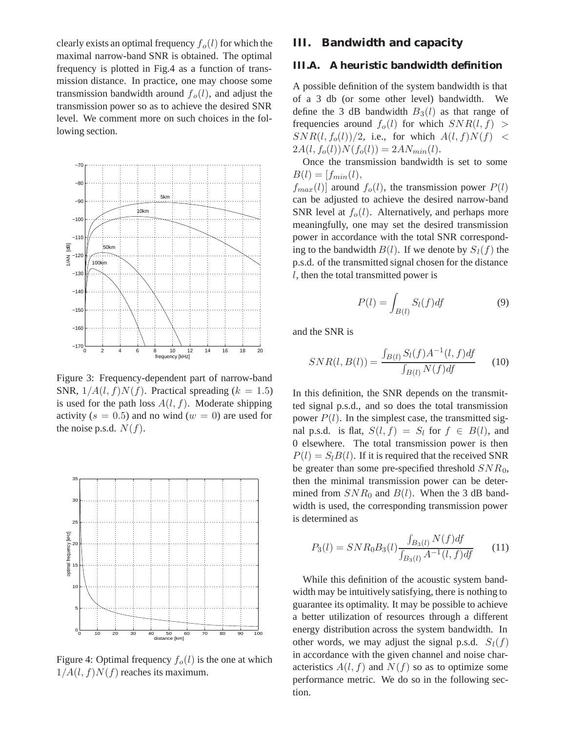clearly exists an optimal frequency  $f_o(l)$  for which the maximal narrow-band SNR is obtained. The optimal frequency is plotted in Fig.4 as a function of transmission distance. In practice, one may choose some transmission bandwidth around  $f<sub>o</sub>(l)$ , and adjust the transmission power so as to achieve the desired SNR level. We comment more on such choices in the following section.



Figure 3: Frequency-dependent part of narrow-band SNR,  $1/A(l, f)N(f)$ . Practical spreading ( $k = 1.5$ ) is used for the path loss  $A(l, f)$ . Moderate shipping activity ( $s = 0.5$ ) and no wind ( $w = 0$ ) are used for the noise p.s.d.  $N(f)$ .



Figure 4: Optimal frequency  $f_o(l)$  is the one at which  $1/A(l, f)N(f)$  reaches its maximum.

### **III. Bandwidth and capacity**

#### **III.A. A heuristic bandwidth definition**

A possible definition of the system bandwidth is that of a 3 db (or some other level) bandwidth. We define the 3 dB bandwidth  $B_3(l)$  as that range of frequencies around  $f_o(l)$  for which  $SNR(l, f)$  >  $SNR(l, f_o(l))/2$ , i.e., for which  $A(l, f)N(f) <$  $2A(l, f_o(l))N(f_o(l)) = 2AN_{min}(l).$ 

Once the transmission bandwidth is set to some  $B(l)=[f_{min}(l),]$  $f_{max}(l)$  around  $f_o(l)$ , the transmission power  $P(l)$ can be adjusted to achieve the desired narrow-band SNR level at  $f<sub>o</sub>(l)$ . Alternatively, and perhaps more meaningfully, one may set the desired transmission power in accordance with the total SNR corresponding to the bandwidth  $B(l)$ . If we denote by  $S_l(f)$  the p.s.d. of the transmitted signal chosen for the distance  $l$ , then the total transmitted power is

$$
P(l) = \int_{B(l)} S_l(f) df
$$
 (9)

and the SNR is

$$
SNR(l, B(l)) = \frac{\int_{B(l)} S_l(f) A^{-1}(l, f) df}{\int_{B(l)} N(f) df}
$$
 (10)

In this definition, the SNR depends on the transmitted signal p.s.d., and so does the total transmission power  $P(l)$ . In the simplest case, the transmitted signal p.s.d. is flat,  $S(l, f) = S_l$  for  $f \in B(l)$ , and 0 elsewhere. The total transmission power is then  $P(l) = S_l B(l)$ . If it is required that the received SNR be greater than some pre-specified threshold  $SNR_0$ , then the minimal transmission power can be determined from  $SNR_0$  and  $B(l)$ . When the 3 dB bandwidth is used, the corresponding transmission power is determined as

$$
P_3(l) = SNR_0B_3(l)\frac{\int_{B_3(l)} N(f)df}{\int_{B_3(l)} A^{-1}(l, f)df}
$$
 (11)

While this definition of the acoustic system bandwidth may be intuitively satisfying, there is nothing to guarantee its optimality. It may be possible to achieve a better utilization of resources through a different energy distribution across the system bandwidth. In other words, we may adjust the signal p.s.d.  $S_l(f)$ in accordance with the given channel and noise characteristics  $A(l, f)$  and  $N(f)$  so as to optimize some performance metric. We do so in the following section.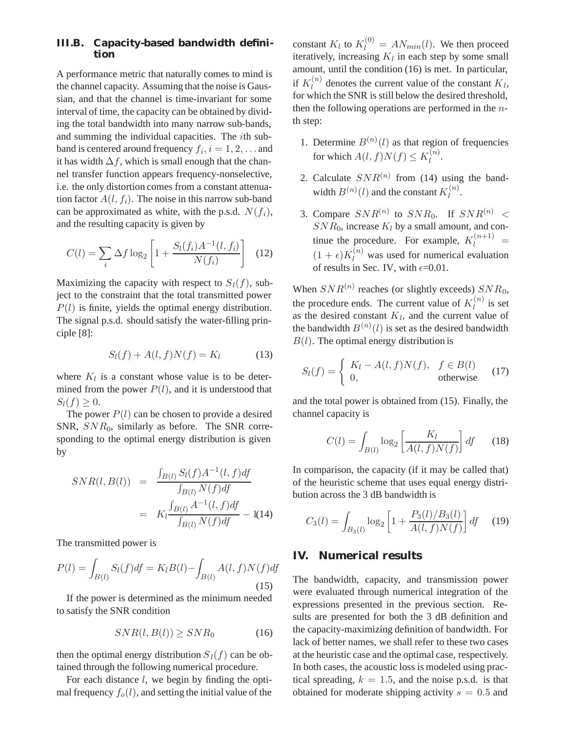#### **III.B. Capacity-based bandwidth definition**

A performance metric that naturally comes to mind is the channel capacity. Assuming that the noise is Gaussian, and that the channel is time-invariant for some interval of time, the capacity can be obtained by dividing the total bandwidth into many narrow sub-bands, and summing the individual capacities. The ith subband is centered around frequency  $f_i$ ,  $i = 1, 2, \ldots$  and it has width  $\Delta f$ , which is small enough that the channel transfer function appears frequency-nonselective, i.e. the only distortion comes from a constant attenuation factor  $A(l, f_i)$ . The noise in this narrow sub-band can be approximated as white, with the p.s.d.  $N(f_i)$ , and the resulting capacity is given by

$$
C(l) = \sum_{i} \Delta f \log_2 \left[ 1 + \frac{S_l(f_i)A^{-1}(l, f_i)}{N(f_i)} \right] \quad (12)
$$

Maximizing the capacity with respect to  $S_l(f)$ , subject to the constraint that the total transmitted power  $P(l)$  is finite, yields the optimal energy distribution. The signal p.s.d. should satisfy the water-filling principle [8]:

$$
S_l(f) + A(l, f)N(f) = K_l \tag{13}
$$

where  $K_l$  is a constant whose value is to be determined from the power  $P(l)$ , and it is understood that  $S_l(f) \geq 0.$ 

The power  $P(l)$  can be chosen to provide a desired SNR,  $SNR_0$ , similarly as before. The SNR corresponding to the optimal energy distribution is given by

$$
SNR(l, B(l)) = \frac{\int_{B(l)} S_l(f) A^{-1}(l, f) df}{\int_{B(l)} N(f) df}
$$

$$
= K_l \frac{\int_{B(l)} A^{-1}(l, f) df}{\int_{B(l)} N(f) df} - 1
$$
(14)

The transmitted power is

$$
P(l) = \int_{B(l)} S_l(f) df = K_l B(l) - \int_{B(l)} A(l, f) N(f) df
$$
\n(15)

If the power is determined as the minimum needed to satisfy the SNR condition

$$
SNR(l, B(l)) \geq SNR_0 \tag{16}
$$

then the optimal energy distribution  $S_l(f)$  can be obtained through the following numerical procedure.

For each distance  $l$ , we begin by finding the optimal frequency  $f<sub>o</sub>(l)$ , and setting the initial value of the

constant  $K_l$  to  $K_l^{(0)} = AN_{min}(l)$ . We then proceed iteratively, increasing  $K_l$  in each step by some small amount, until the condition (16) is met. In particular, if  $K_l^{(n)}$  denotes the current value of the constant  $K_l$ , for which the SNR is still below the desired threshold, then the following operations are performed in the nth step:

- 1. Determine  $B^{(n)}(l)$  as that region of frequencies for which  $A(l, f)N(f) \leq K_l^{(n)}$ .
- 2. Calculate  $SNR^{(n)}$  from (14) using the bandwidth  $B^{(n)}(l)$  and the constant  $K_l^{(n)}$ .
- 3. Compare  $SNR^{(n)}$  to  $SNR_0$ . If  $SNR^{(n)} <$  $SNR_0$ , increase  $K_l$  by a small amount, and continue the procedure. For example,  $K_l^{(n+1)}$  = (1 +  $\epsilon$ ) $K_l^{(n)}$  was used for numerical evaluation<br>of results in Sec. IV, with  $\epsilon$ =0.01 of results in Sec. IV, with  $\epsilon$ =0.01.

When  $SNR^{(n)}$  reaches (or slightly exceeds)  $SNR_0$ , the procedure ends. The current value of  $K_l^{(n)}$  is set as the desired constant  $K_l$ , and the current value of the bandwidth  $B^{(n)}(l)$  is set as the desired bandwidth  $B^{(l)}$ . The optimal energy distribution is  $B(l)$ . The optimal energy distribution is

$$
S_l(f) = \begin{cases} K_l - A(l, f)N(f), & f \in B(l) \\ 0, & \text{otherwise} \end{cases}
$$
 (17)

and the total power is obtained from (15). Finally, the channel capacity is

$$
C(l) = \int_{B(l)} \log_2 \left[ \frac{K_l}{A(l, f)N(f)} \right] df \qquad (18)
$$

In comparison, the capacity (if it may be called that) of the heuristic scheme that uses equal energy distribution across the 3 dB bandwidth is

$$
C_3(l) = \int_{B_3(l)} \log_2 \left[ 1 + \frac{P_3(l)/B_3(l)}{A(l,f)N(f)} \right] df \quad (19)
$$

### **IV. Numerical results**

The bandwidth, capacity, and transmission power were evaluated through numerical integration of the expressions presented in the previous section. Results are presented for both the 3 dB definition and the capacity-maximizing definition of bandwidth. For lack of better names, we shall refer to these two cases at the heuristic case and the optimal case, respectively. In both cases, the acoustic loss is modeled using practical spreading,  $k = 1.5$ , and the noise p.s.d. is that obtained for moderate shipping activity  $s = 0.5$  and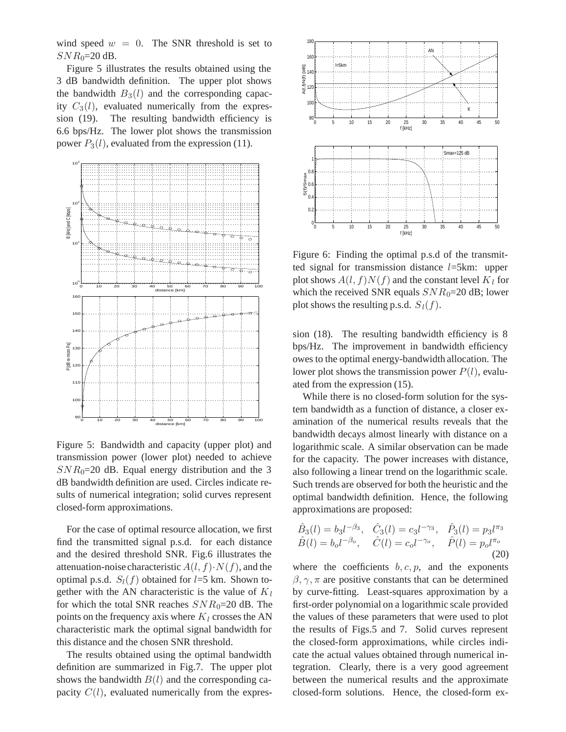wind speed  $w = 0$ . The SNR threshold is set to  $SNR_0=20$  dB.

Figure 5 illustrates the results obtained using the 3 dB bandwidth definition. The upper plot shows the bandwidth  $B_3(l)$  and the corresponding capacity  $C_3(l)$ , evaluated numerically from the expres-<br>sion (19). The resulting bandwidth efficiency is The resulting bandwidth efficiency is 6.6 bps/Hz. The lower plot shows the transmission power  $P_3(l)$ , evaluated from the expression (11).



Figure 5: Bandwidth and capacity (upper plot) and transmission power (lower plot) needed to achieve  $SNR_0=20$  dB. Equal energy distribution and the 3 dB bandwidth definition are used. Circles indicate results of numerical integration; solid curves represent closed-form approximations.

For the case of optimal resource allocation, we first find the transmitted signal p.s.d. for each distance and the desired threshold SNR. Fig.6 illustrates the attenuation-noise characteristic  $A(l, f) \cdot N(f)$ , and the optimal p.s.d.  $S_l(f)$  obtained for  $l=5$  km. Shown together with the AN characteristic is the value of  $K_l$ for which the total SNR reaches  $SNR_0=20$  dB. The points on the frequency axis where  $K_l$  crosses the AN characteristic mark the optimal signal bandwidth for this distance and the chosen SNR threshold.

The results obtained using the optimal bandwidth definition are summarized in Fig.7. The upper plot shows the bandwidth  $B(l)$  and the corresponding capacity  $C(l)$ , evaluated numerically from the expres-



Figure 6: Finding the optimal p.s.d of the transmitted signal for transmission distance  $l=5$ km: upper plot shows  $A(l, f)N(f)$  and the constant level  $K_l$  for which the received SNR equals  $SNR_0$ =20 dB; lower plot shows the resulting p.s.d.  $S_l(f)$ .

sion (18). The resulting bandwidth efficiency is 8 bps/Hz. The improvement in bandwidth efficiency owes to the optimal energy-bandwidth allocation. The lower plot shows the transmission power  $P(l)$ , evaluated from the expression (15).

While there is no closed-form solution for the system bandwidth as a function of distance, a closer examination of the numerical results reveals that the bandwidth decays almost linearly with distance on a logarithmic scale. A similar observation can be made for the capacity. The power increases with distance, also following a linear trend on the logarithmic scale. Such trends are observed for both the heuristic and the optimal bandwidth definition. Hence, the following approximations are proposed:

$$
\hat{B}_3(l) = b_3 l^{-\beta_3}, \quad \hat{C}_3(l) = c_3 l^{-\gamma_3}, \quad \hat{P}_3(l) = p_3 l^{\pi_3}
$$
\n
$$
\hat{B}(l) = b_o l^{-\beta_o}, \quad \hat{C}(l) = c_o l^{-\gamma_o}, \quad \hat{P}(l) = p_o l^{\pi_o}
$$
\n(20)

where the coefficients  $b, c, p$ , and the exponents  $\beta$ ,  $\gamma$ ,  $\pi$  are positive constants that can be determined by curve-fitting. Least-squares approximation by a first-order polynomial on a logarithmic scale provided the values of these parameters that were used to plot the results of Figs.5 and 7. Solid curves represent the closed-form approximations, while circles indicate the actual values obtained through numerical integration. Clearly, there is a very good agreement between the numerical results and the approximate closed-form solutions. Hence, the closed-form ex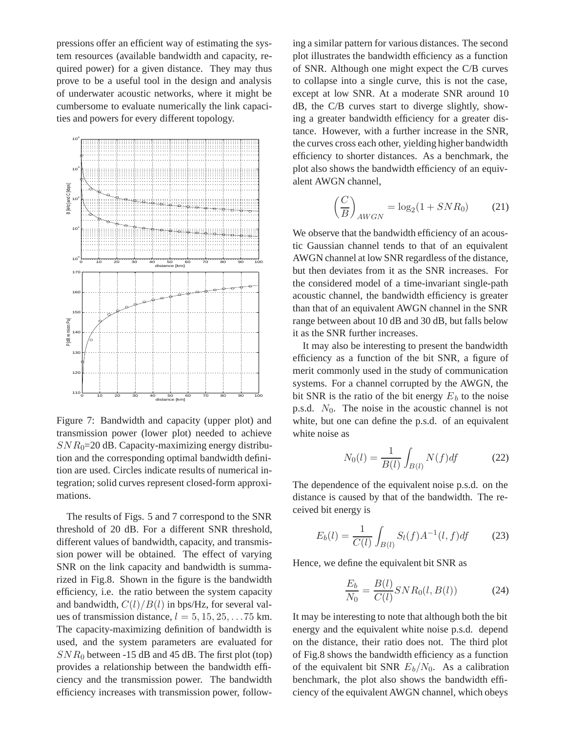pressions offer an efficient way of estimating the system resources (available bandwidth and capacity, required power) for a given distance. They may thus prove to be a useful tool in the design and analysis of underwater acoustic networks, where it might be cumbersome to evaluate numerically the link capacities and powers for every different topology.



Figure 7: Bandwidth and capacity (upper plot) and transmission power (lower plot) needed to achieve  $SNR_0$ =20 dB. Capacity-maximizing energy distribution and the corresponding optimal bandwidth definition are used. Circles indicate results of numerical integration; solid curves represent closed-form approximations.

The results of Figs. 5 and 7 correspond to the SNR threshold of 20 dB. For a different SNR threshold, different values of bandwidth, capacity, and transmission power will be obtained. The effect of varying SNR on the link capacity and bandwidth is summarized in Fig.8. Shown in the figure is the bandwidth efficiency, i.e. the ratio between the system capacity and bandwidth,  $C(l)/B(l)$  in bps/Hz, for several values of transmission distance,  $l = 5, 15, 25, \ldots 75$  km. The capacity-maximizing definition of bandwidth is used, and the system parameters are evaluated for  $SNR_0$  between -15 dB and 45 dB. The first plot (top) provides a relationship between the bandwidth efficiency and the transmission power. The bandwidth efficiency increases with transmission power, following a similar pattern for various distances. The second plot illustrates the bandwidth efficiency as a function of SNR. Although one might expect the C/B curves to collapse into a single curve, this is not the case, except at low SNR. At a moderate SNR around 10 dB, the C/B curves start to diverge slightly, showing a greater bandwidth efficiency for a greater distance. However, with a further increase in the SNR, the curves cross each other, yielding higher bandwidth efficiency to shorter distances. As a benchmark, the plot also shows the bandwidth efficiency of an equivalent AWGN channel,

$$
\left(\frac{C}{B}\right)_{AWGN} = \log_2(1 + SNR_0) \tag{21}
$$

We observe that the bandwidth efficiency of an acoustic Gaussian channel tends to that of an equivalent AWGN channel at low SNR regardless of the distance, but then deviates from it as the SNR increases. For the considered model of a time-invariant single-path acoustic channel, the bandwidth efficiency is greater than that of an equivalent AWGN channel in the SNR range between about 10 dB and 30 dB, but falls below it as the SNR further increases.

It may also be interesting to present the bandwidth efficiency as a function of the bit SNR, a figure of merit commonly used in the study of communication systems. For a channel corrupted by the AWGN, the bit SNR is the ratio of the bit energy  $E_b$  to the noise p.s.d.  $N_0$ . The noise in the acoustic channel is not white, but one can define the p.s.d. of an equivalent white noise as

$$
N_0(l) = \frac{1}{B(l)} \int_{B(l)} N(f) df
$$
 (22)

The dependence of the equivalent noise p.s.d. on the distance is caused by that of the bandwidth. The received bit energy is

$$
E_b(l) = \frac{1}{C(l)} \int_{B(l)} S_l(f) A^{-1}(l, f) df
$$
 (23)

Hence, we define the equivalent bit SNR as

$$
\frac{E_b}{N_0} = \frac{B(l)}{C(l)} SNR_0(l, B(l))
$$
\n(24)

It may be interesting to note that although both the bit energy and the equivalent white noise p.s.d. depend on the distance, their ratio does not. The third plot of Fig.8 shows the bandwidth efficiency as a function of the equivalent bit SNR  $E_b/N_0$ . As a calibration benchmark, the plot also shows the bandwidth efficiency of the equivalent AWGN channel, which obeys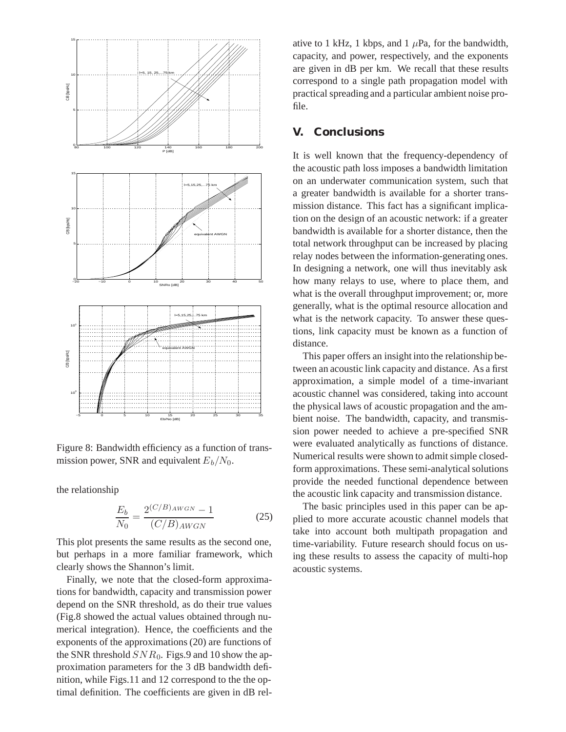

Figure 8: Bandwidth efficiency as a function of transmission power, SNR and equivalent  $E_b/N_0$ .

the relationship

$$
\frac{E_b}{N_0} = \frac{2^{(C/B)_{AWGN}} - 1}{(C/B)_{AWGN}}
$$
 (25)

This plot presents the same results as the second one, but perhaps in a more familiar framework, which clearly shows the Shannon's limit.

Finally, we note that the closed-form approximations for bandwidth, capacity and transmission power depend on the SNR threshold, as do their true values (Fig.8 showed the actual values obtained through numerical integration). Hence, the coefficients and the exponents of the approximations (20) are functions of the SNR threshold  $SNR_0$ . Figs.9 and 10 show the approximation parameters for the 3 dB bandwidth definition, while Figs.11 and 12 correspond to the the optimal definition. The coefficients are given in dB relative to 1 kHz, 1 kbps, and 1  $\mu$ Pa, for the bandwidth, capacity, and power, respectively, and the exponents are given in dB per km. We recall that these results correspond to a single path propagation model with practical spreading and a particular ambient noise profile.

# **V. Conclusions**

It is well known that the frequency-dependency of the acoustic path loss imposes a bandwidth limitation on an underwater communication system, such that a greater bandwidth is available for a shorter transmission distance. This fact has a significant implication on the design of an acoustic network: if a greater bandwidth is available for a shorter distance, then the total network throughput can be increased by placing relay nodes between the information-generating ones. In designing a network, one will thus inevitably ask how many relays to use, where to place them, and what is the overall throughput improvement; or, more generally, what is the optimal resource allocation and what is the network capacity. To answer these questions, link capacity must be known as a function of distance.

This paper offers an insight into the relationship between an acoustic link capacity and distance. As a first approximation, a simple model of a time-invariant acoustic channel was considered, taking into account the physical laws of acoustic propagation and the ambient noise. The bandwidth, capacity, and transmission power needed to achieve a pre-specified SNR were evaluated analytically as functions of distance. Numerical results were shown to admit simple closedform approximations. These semi-analytical solutions provide the needed functional dependence between the acoustic link capacity and transmission distance.

The basic principles used in this paper can be applied to more accurate acoustic channel models that take into account both multipath propagation and time-variability. Future research should focus on using these results to assess the capacity of multi-hop acoustic systems.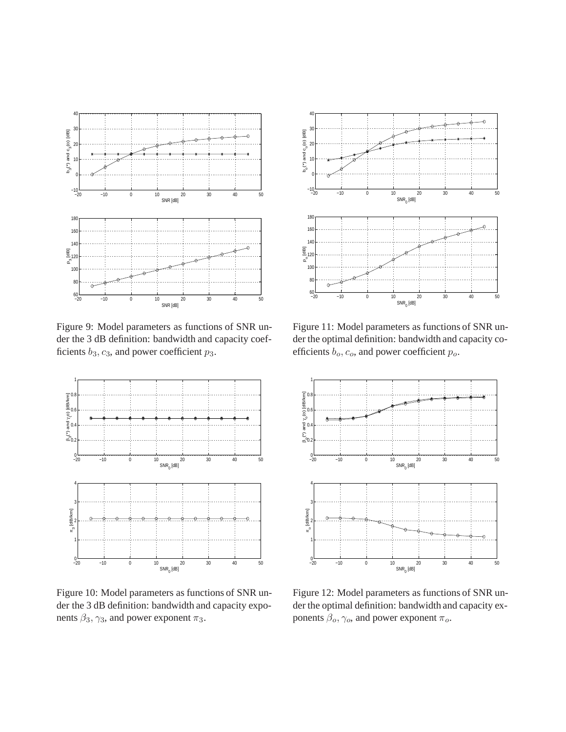

Figure 9: Model parameters as functions of SNR under the 3 dB definition: bandwidth and capacity coefficients  $b_3$ ,  $c_3$ , and power coefficient  $p_3$ .



Figure 10: Model parameters as functions of SNR under the 3 dB definition: bandwidth and capacity exponents  $\beta_3$ ,  $\gamma_3$ , and power exponent  $\pi_3$ .



Figure 11: Model parameters as functions of SNR under the optimal definition: bandwidth and capacity coefficients  $b_o$ ,  $c_o$ , and power coefficient  $p_o$ .



Figure 12: Model parameters as functions of SNR under the optimal definition: bandwidth and capacity exponents  $\beta_o$ ,  $\gamma_o$ , and power exponent  $\pi_o$ .